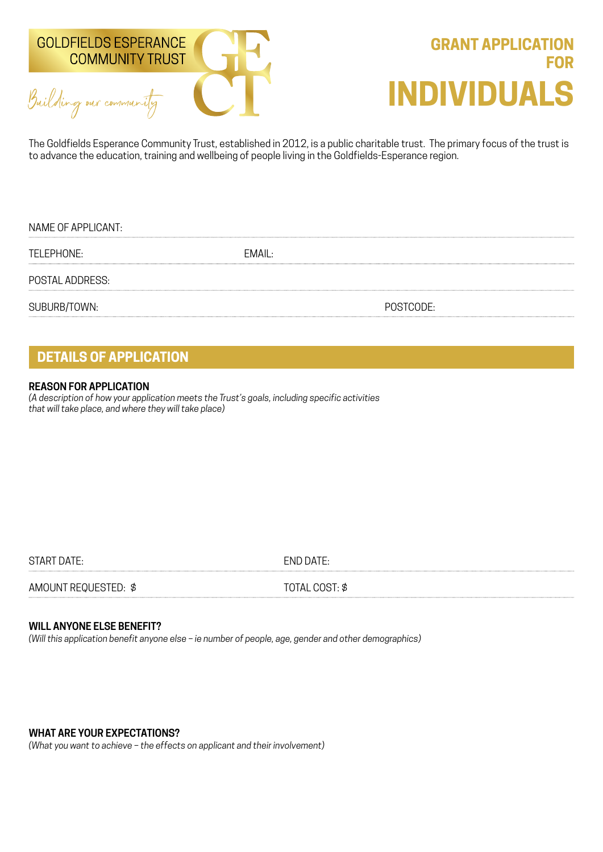



The Goldfields Esperance Community Trust, established in 2012, is a public charitable trust. The primary focus of the trust is to advance the education, training and wellbeing of people living in the Goldfields-Esperance region.

| NAME OF APPLICANT: |        |           |
|--------------------|--------|-----------|
| TELEPHONE:         | EMAIL: |           |
| POSTAL ADDRESS:    |        |           |
| SUBURB/TOWN:       |        | POSTCODE: |

## **DETAILS OF APPLICATION**

#### **REASON FOR APPLICATION**

*(A description of how your application meets the Trust's goals, including specific activities that will take place, and where they will take place)*

START DATE: END DATE:

AMOUNT REQUESTED:  $\oint$  TOTAL COST:  $\oint$ 

### **WILL ANYONE ELSE BENEFIT?**

*(Will this application benefit anyone else – ie number of people, age, gender and other demographics)*

**WHAT ARE YOUR EXPECTATIONS?**

*(What you want to achieve – the effects on applicant and their involvement)*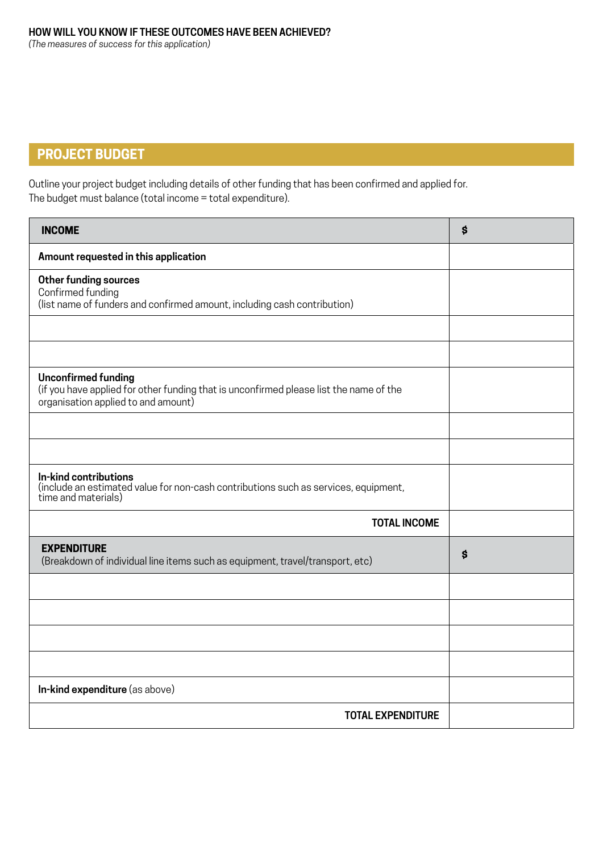# **PROJECT BUDGET**

Outline your project budget including details of other funding that has been confirmed and applied for. The budget must balance (total income = total expenditure).

| <b>INCOME</b>                                                                                                                                               | $\boldsymbol{\mathsf{S}}$ |
|-------------------------------------------------------------------------------------------------------------------------------------------------------------|---------------------------|
| Amount requested in this application                                                                                                                        |                           |
| <b>Other funding sources</b><br>Confirmed funding<br>(list name of funders and confirmed amount, including cash contribution)                               |                           |
|                                                                                                                                                             |                           |
|                                                                                                                                                             |                           |
| <b>Unconfirmed funding</b><br>(if you have applied for other funding that is unconfirmed please list the name of the<br>organisation applied to and amount) |                           |
|                                                                                                                                                             |                           |
|                                                                                                                                                             |                           |
| In-kind contributions<br>(include an estimated value for non-cash contributions such as services, equipment,<br>time and materials)                         |                           |
| <b>TOTAL INCOME</b>                                                                                                                                         |                           |
| <b>EXPENDITURE</b><br>(Breakdown of individual line items such as equipment, travel/transport, etc)                                                         | \$                        |
|                                                                                                                                                             |                           |
|                                                                                                                                                             |                           |
|                                                                                                                                                             |                           |
|                                                                                                                                                             |                           |
| In-kind expenditure (as above)                                                                                                                              |                           |
| <b>TOTAL EXPENDITURE</b>                                                                                                                                    |                           |